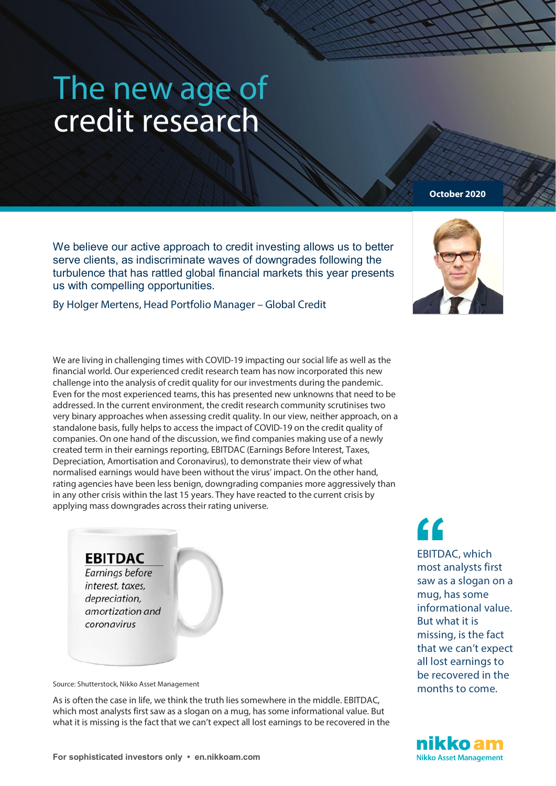## The new age of credit research

We believe our active approach to credit investing allows us to better serve clients, as indiscriminate waves of downgrades following the turbulence that has rattled global financial markets this year presents us with compelling opportunities.

By Holger Mertens, Head Portfolio Manager – Global Credit

We are living in challenging times with COVID-19 impacting our social life as well as the financial world. Our experienced credit research team has now incorporated this new challenge into the analysis of credit quality for our investments during the pandemic. Even for the most experienced teams, this has presented new unknowns that need to be addressed. In the current environment, the credit research community scrutinises two very binary approaches when assessing credit quality. In our view, neither approach, on a standalone basis, fully helps to access the impact of COVID-19 on the credit quality of companies. On one hand of the discussion, we find companies making use of a newly created term in their earnings reporting, EBITDAC (Earnings Before Interest, Taxes, Depreciation, Amortisation and Coronavirus), to demonstrate their view of what normalised earnings would have been without the virus' impact. On the other hand, rating agencies have been less benign, downgrading companies more aggressively than in any other crisis within the last 15 years. They have reacted to the current crisis by applying mass downgrades across their rating universe.

## **EBITDAC**

Earnings before interest, taxes, depreciation. amortization and coronavirus

Source: Shutterstock, Nikko Asset Management

As is often the case in life, we think the truth lies somewhere in the middle. EBITDAC, which most analysts first saw as a slogan on a mug, has some informational value. But what it is missing is the fact that we can't expect all lost earnings to be recovered in the **''**

EBITDAC, which most analysts first saw as a slogan on a mug, has some informational value. But what it is missing, is the fact that we can't expect all lost earnings to be recovered in the months to come.





**October 2020**

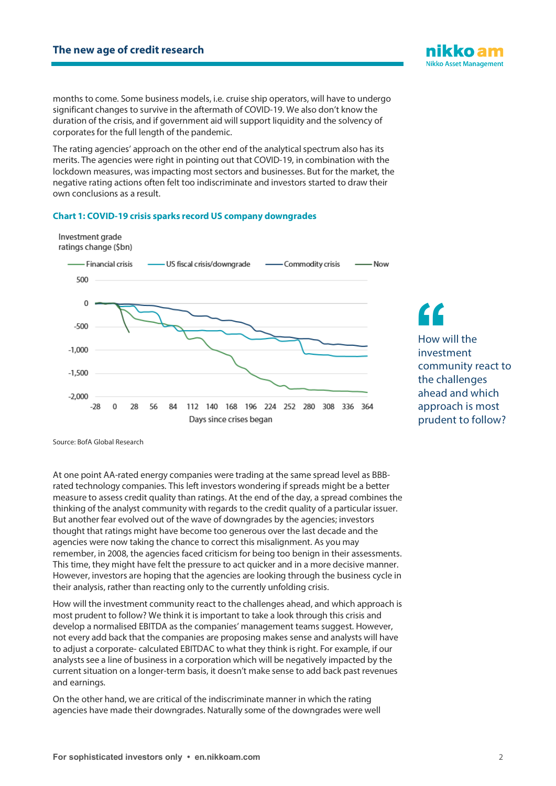months to come. Some business models, i.e. cruise ship operators, will have to undergo significant changes to survive in the aftermath of COVID-19. We also don't know the duration of the crisis, and if government aid will support liquidity and the solvency of corporates for the full length of the pandemic.

The rating agencies' approach on the other end of the analytical spectrum also has its merits. The agencies were right in pointing out that COVID-19, in combination with the lockdown measures, was impacting most sectors and businesses. But for the market, the negative rating actions often felt too indiscriminate and investors started to draw their own conclusions as a result.

## **Chart 1: COVID-19 crisis sparks record US company downgrades**



How will the investment community react to the challenges ahead and which approach is most prudent to follow? **f**<br>
How w<br>
investion

Source: BofA Global Research

At one point AA-rated energy companies were trading at the same spread level as BBBrated technology companies. This left investors wondering if spreads might be a better measure to assess credit quality than ratings. At the end of the day, a spread combines the thinking of the analyst community with regards to the credit quality of a particular issuer. But another fear evolved out of the wave of downgrades by the agencies; investors thought that ratings might have become too generous over the last decade and the agencies were now taking the chance to correct this misalignment. As you may remember, in 2008, the agencies faced criticism for being too benign in their assessments. This time, they might have felt the pressure to act quicker and in a more decisive manner. However, investors are hoping that the agencies are looking through the business cycle in their analysis, rather than reacting only to the currently unfolding crisis.

How will the investment community react to the challenges ahead, and which approach is most prudent to follow? We think it is important to take a look through this crisis and develop a normalised EBITDA as the companies' management teams suggest. However, not every add back that the companies are proposing makes sense and analysts will have to adjust a corporate- calculated EBITDAC to what they think is right. For example, if our analysts see a line of business in a corporation which will be negatively impacted by the current situation on a longer-term basis, it doesn't make sense to add back past revenues and earnings.

On the other hand, we are critical of the indiscriminate manner in which the rating agencies have made their downgrades. Naturally some of the downgrades were well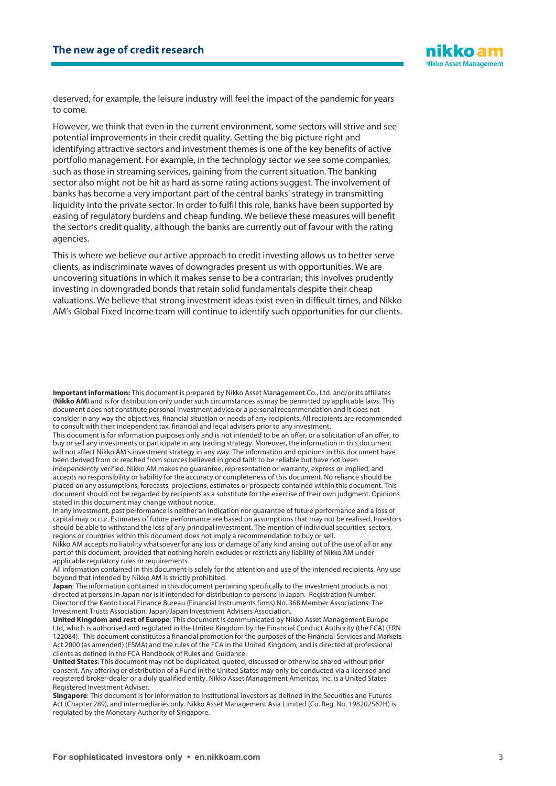

deserved; for example, the leisure industry will feel the impact of the pandemic for years to come.

However, we think that even in the current environment, some sectors will strive and see potential improvements in their credit quality. Getting the big picture right and identifying attractive sectors and investment themes is one of the key benefits of active portfolio management. For example, in the technology sector we see some companies, such as those in streaming services, gaining from the current situation. The banking sector also might not be hit as hard as some rating actions suggest. The involvement of banks has become a very important part of the central banks'strategy in transmitting liquidity into the private sector. In order to fulfil this role, banks have been supported by easing of regulatory burdens and cheap funding. We believe these measures will benefit the sector's credit quality, although the banks are currently out of favour with the rating agencies.

This is where we believe our active approach to credit investing allows us to better serve clients, as indiscriminate waves of downgrades present us with opportunities. We are uncovering situations in which it makes sense to be a contrarian; this involves prudently investing in downgraded bonds that retain solid fundamentals despite their cheap valuations. We believe that strong investment ideas exist even in difficult times, and Nikko AM's Global Fixed Income team will continue to identify such opportunities for our clients.

**Important information:** This document is prepared by Nikko Asset Management Co., Ltd. and/or its affiliates (**Nikko AM**) and is for distribution only under such circumstances as may be permitted by applicable laws. This document does not constitute personal investment advice or a personal recommendation and it does not consider in any way the objectives, financial situation or needs of any recipients. All recipients are recommended to consult with their independent tax, financial and legal advisers prior to any investment.

This document is for information purposes only and is not intended to be an offer, or a solicitation of an offer, to buy or sell any investments or participate in any trading strategy. Moreover, the information in this document will not affect Nikko AM's investment strategy in any way. The information and opinions in this document have been derived from or reached from sources believed in good faith to be reliable but have not been

independently verified. Nikko AM makes no guarantee, representation or warranty, express or implied, and accepts no responsibility or liability for the accuracy or completeness of this document. No reliance should be placed on any assumptions, forecasts, projections, estimates or prospects contained within this document. This document should not be regarded by recipients as a substitute for the exercise of their own judgment. Opinions stated in this document may change without notice.

In any investment, past performance is neither an indication nor guarantee of future performance and a loss of capital may occur. Estimates of future performance are based on assumptions that may not be realised. Investors should be able to withstand the loss of any principal investment. The mention of individual securities, sectors, regions or countries within this document does not imply a recommendation to buy or sell.

Nikko AM accepts no liability whatsoever for any loss or damage of any kind arising out of the use of all or any part of this document, provided that nothing herein excludes or restricts any liability of Nikko AM under applicable regulatory rules or requirements.

All information contained in this document is solely for the attention and use of the intended recipients. Any use beyond that intended by Nikko AM is strictly prohibited.

**Japan**: The information contained in this document pertaining specifically to the investment products is not directed at persons in Japan nor is it intended for distribution to persons in Japan. Registration Number: Director of the Kanto Local Finance Bureau (Financial Instruments firms) No. 368 Member Associations: The Investment Trusts Association, Japan/Japan Investment Advisers Association.

**United Kingdom and rest of Europe**: This document is communicated by Nikko Asset Management Europe Ltd, which is authorised and regulated in the United Kingdom by the Financial Conduct Authority (the FCA) (FRN 122084). This document constitutes a financial promotion for the purposes of the Financial Services and Markets Act 2000 (as amended) (FSMA) and the rules of the FCA in the United Kingdom, and is directed at professional clients as defined in the FCA Handbook of Rules and Guidance.

**United States**: This document may not be duplicated, quoted, discussed or otherwise shared without prior consent. Any offering or distribution of a Fund in the United States may only be conducted via a licensed and registered broker-dealer or a duly qualified entity. Nikko Asset Management Americas, Inc. is a United States Registered Investment Adviser.

**Singapore**: This document is for information to institutional investors as defined in the Securities and Futures Act (Chapter 289), and intermediaries only. Nikko Asset Management Asia Limited (Co. Reg. No. 198202562H) is regulated by the Monetary Authority of Singapore.